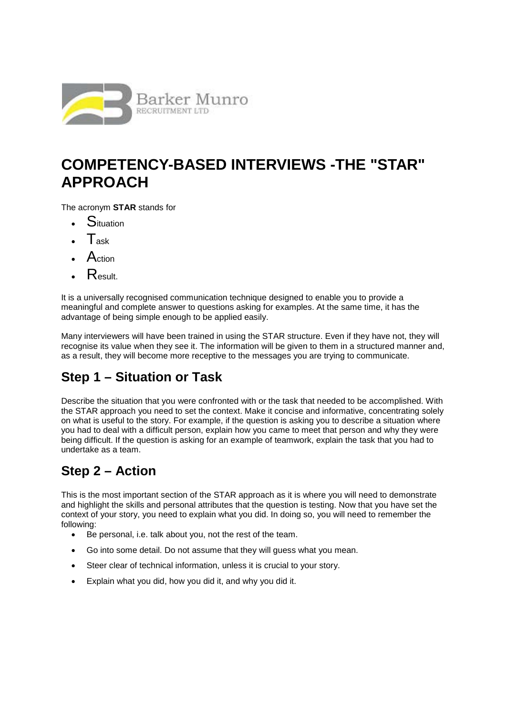

# **COMPETENCY-BASED INTERVIEWS -THE "STAR" APPROACH**

The acronym **STAR** stands for

- **Situation**
- $\mathsf{T}_{\mathsf{ask}}$
- Action
- $R_{\text{esult}}$

It is a universally recognised communication technique designed to enable you to provide a meaningful and complete answer to questions asking for examples. At the same time, it has the advantage of being simple enough to be applied easily.

Many interviewers will have been trained in using the STAR structure. Even if they have not, they will recognise its value when they see it. The information will be given to them in a structured manner and, as a result, they will become more receptive to the messages you are trying to communicate.

## **Step 1 – Situation or Task**

Describe the situation that you were confronted with or the task that needed to be accomplished. With the STAR approach you need to set the context. Make it concise and informative, concentrating solely on what is useful to the story. For example, if the question is asking you to describe a situation where you had to deal with a difficult person, explain how you came to meet that person and why they were being difficult. If the question is asking for an example of teamwork, explain the task that you had to undertake as a team.

## **Step 2 – Action**

This is the most important section of the STAR approach as it is where you will need to demonstrate and highlight the skills and personal attributes that the question is testing. Now that you have set the context of your story, you need to explain what you did. In doing so, you will need to remember the following:

- Be personal, i.e. talk about you, not the rest of the team.
- Go into some detail. Do not assume that they will guess what you mean.
- Steer clear of technical information, unless it is crucial to your story.
- Explain what you did, how you did it, and why you did it.